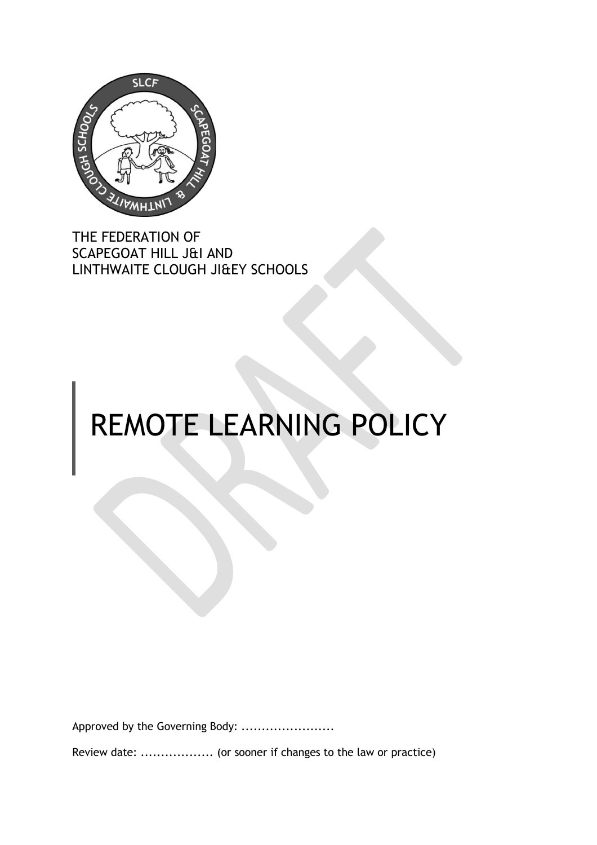

THE FEDERATION OF SCAPEGOAT HILL J&I AND LINTHWAITE CLOUGH JI&EY SCHOOLS

# REMOTE LEARNING POLICY

Approved by the Governing Body: .......................

Review date: ..................... (or sooner if changes to the law or practice)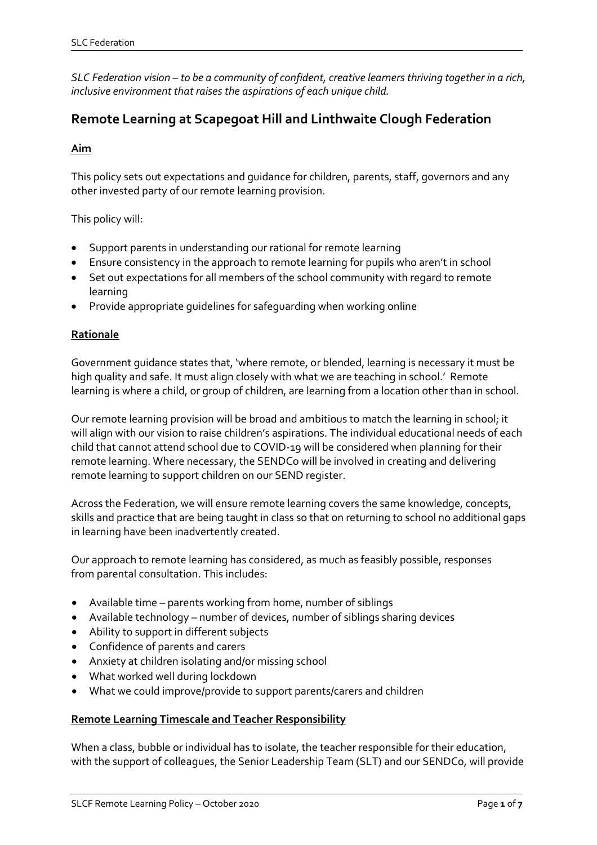*SLC Federation vision – to be a community of confident, creative learners thriving together in a rich, inclusive environment that raises the aspirations of each unique child.*

# **Remote Learning at Scapegoat Hill and Linthwaite Clough Federation**

# **Aim**

This policy sets out expectations and guidance for children, parents, staff, governors and any other invested party of our remote learning provision.

This policy will:

- Support parents in understanding our rational for remote learning
- Ensure consistency in the approach to remote learning for pupils who aren't in school
- Set out expectations for all members of the school community with regard to remote learning
- Provide appropriate guidelines for safeguarding when working online

# **Rationale**

Government guidance states that, 'where remote, or blended, learning is necessary it must be high quality and safe. It must align closely with what we are teaching in school.' Remote learning is where a child, or group of children, are learning from a location other than in school.

Our remote learning provision will be broad and ambitious to match the learning in school; it will align with our vision to raise children's aspirations. The individual educational needs of each child that cannot attend school due to COVID-19 will be considered when planning for their remote learning. Where necessary, the SENDCo will be involved in creating and delivering remote learning to support children on our SEND register.

Across the Federation, we will ensure remote learning covers the same knowledge, concepts, skills and practice that are being taught in class so that on returning to school no additional gaps in learning have been inadvertently created.

Our approach to remote learning has considered, as much as feasibly possible, responses from parental consultation. This includes:

- Available time parents working from home, number of siblings
- Available technology number of devices, number of siblings sharing devices
- Ability to support in different subjects
- Confidence of parents and carers
- Anxiety at children isolating and/or missing school
- What worked well during lockdown
- What we could improve/provide to support parents/carers and children

#### **Remote Learning Timescale and Teacher Responsibility**

When a class, bubble or individual has to isolate, the teacher responsible for their education, with the support of colleagues, the Senior Leadership Team (SLT) and our SENDCo, will provide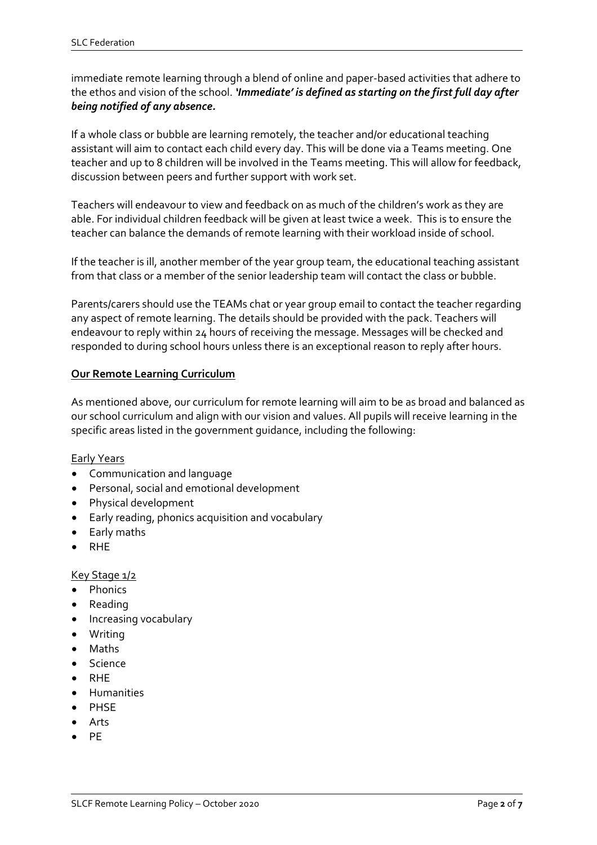immediate remote learning through a blend of online and paper-based activities that adhere to the ethos and vision of the school. *'Immediate' is defined as starting on the first full day after being notified of any absence.*

If a whole class or bubble are learning remotely, the teacher and/or educational teaching assistant will aim to contact each child every day. This will be done via a Teams meeting. One teacher and up to 8 children will be involved in the Teams meeting. This will allow for feedback, discussion between peers and further support with work set.

Teachers will endeavour to view and feedback on as much of the children's work as they are able. For individual children feedback will be given at least twice a week. This is to ensure the teacher can balance the demands of remote learning with their workload inside of school.

If the teacher is ill, another member of the year group team, the educational teaching assistant from that class or a member of the senior leadership team will contact the class or bubble.

Parents/carers should use the TEAMs chat or year group email to contact the teacher regarding any aspect of remote learning. The details should be provided with the pack. Teachers will endeavour to reply within 24 hours of receiving the message. Messages will be checked and responded to during school hours unless there is an exceptional reason to reply after hours.

#### **Our Remote Learning Curriculum**

As mentioned above, our curriculum for remote learning will aim to be as broad and balanced as our school curriculum and align with our vision and values. All pupils will receive learning in the specific areas listed in the government guidance, including the following:

 $\overline{a}$ 

#### Early Years

- Communication and language
- Personal, social and emotional development
- Physical development
- Early reading, phonics acquisition and vocabulary
- Early maths
- RHE

#### Key Stage 1/2

- Phonics
- Reading
- Increasing vocabulary
- Writing
- Maths
- Science
- RHE
- Humanities
- PHSE
- Arts
- **PF**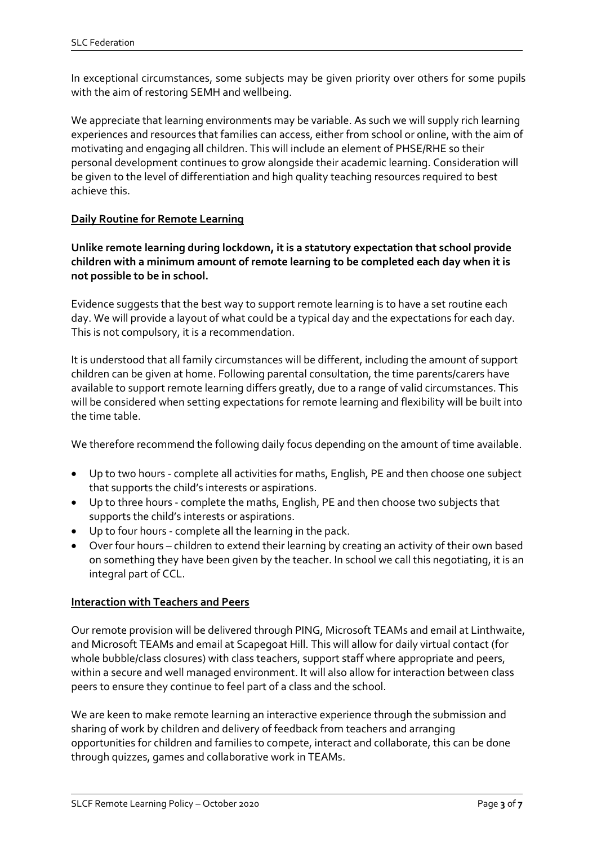In exceptional circumstances, some subjects may be given priority over others for some pupils with the aim of restoring SEMH and wellbeing.

We appreciate that learning environments may be variable. As such we will supply rich learning experiences and resources that families can access, either from school or online, with the aim of motivating and engaging all children. This will include an element of PHSE/RHE so their personal development continues to grow alongside their academic learning. Consideration will be given to the level of differentiation and high quality teaching resources required to best achieve this.

# **Daily Routine for Remote Learning**

**Unlike remote learning during lockdown, it is a statutory expectation that school provide children with a minimum amount of remote learning to be completed each day when it is not possible to be in school.**

Evidence suggests that the best way to support remote learning is to have a set routine each day. We will provide a layout of what could be a typical day and the expectations for each day. This is not compulsory, it is a recommendation.

It is understood that all family circumstances will be different, including the amount of support children can be given at home. Following parental consultation, the time parents/carers have available to support remote learning differs greatly, due to a range of valid circumstances. This will be considered when setting expectations for remote learning and flexibility will be built into the time table.

We therefore recommend the following daily focus depending on the amount of time available.

- Up to two hours complete all activities for maths, English, PE and then choose one subject that supports the child's interests or aspirations.
- Up to three hours complete the maths, English, PE and then choose two subjects that supports the child's interests or aspirations.
- Up to four hours complete all the learning in the pack.
- Over four hours children to extend their learning by creating an activity of their own based on something they have been given by the teacher. In school we call this negotiating, it is an integral part of CCL.

#### **Interaction with Teachers and Peers**

Our remote provision will be delivered through PING, Microsoft TEAMs and email at Linthwaite, and Microsoft TEAMs and email at Scapegoat Hill. This will allow for daily virtual contact (for whole bubble/class closures) with class teachers, support staff where appropriate and peers, within a secure and well managed environment. It will also allow for interaction between class peers to ensure they continue to feel part of a class and the school.

We are keen to make remote learning an interactive experience through the submission and sharing of work by children and delivery of feedback from teachers and arranging opportunities for children and families to compete, interact and collaborate, this can be done through quizzes, games and collaborative work in TEAMs.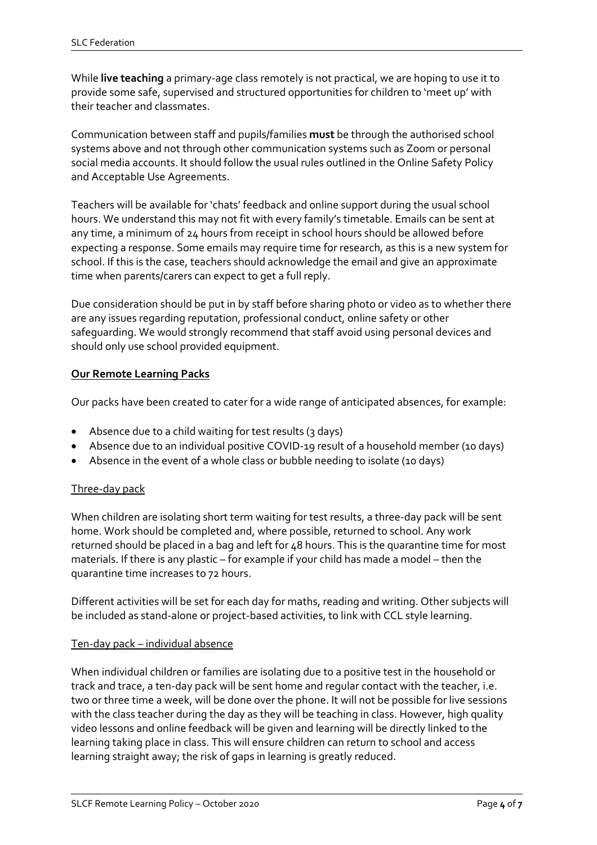While **live teaching** a primary-age class remotely is not practical, we are hoping to use it to provide some safe, supervised and structured opportunities for children to 'meet up' with their teacher and classmates.

Communication between staff and pupils/families **must** be through the authorised school systems above and not through other communication systems such as Zoom or personal social media accounts. It should follow the usual rules outlined in the Online Safety Policy and Acceptable Use Agreements.

Teachers will be available for 'chats' feedback and online support during the usual school hours. We understand this may not fit with every family's timetable. Emails can be sent at any time, a minimum of 24 hours from receipt in school hours should be allowed before expecting a response. Some emails may require time for research, as this is a new system for school. If this is the case, teachers should acknowledge the email and give an approximate time when parents/carers can expect to get a full reply.

Due consideration should be put in by staff before sharing photo or video as to whether there are any issues regarding reputation, professional conduct, online safety or other safeguarding. We would strongly recommend that staff avoid using personal devices and should only use school provided equipment.

# **Our Remote Learning Packs**

Our packs have been created to cater for a wide range of anticipated absences, for example:

- Absence due to a child waiting for test results (3 days)
- Absence due to an individual positive COVID-19 result of a household member (10 days)
- Absence in the event of a whole class or bubble needing to isolate (10 days)

#### Three-day pack

When children are isolating short term waiting for test results, a three-day pack will be sent home. Work should be completed and, where possible, returned to school. Any work returned should be placed in a bag and left for 48 hours. This is the quarantine time for most materials. If there is any plastic – for example if your child has made a model – then the quarantine time increases to 72 hours.

Different activities will be set for each day for maths, reading and writing. Other subjects will be included as stand-alone or project-based activities, to link with CCL style learning.

#### Ten-day pack – individual absence

When individual children or families are isolating due to a positive test in the household or track and trace, a ten-day pack will be sent home and regular contact with the teacher, i.e. two or three time a week, will be done over the phone. It will not be possible for live sessions with the class teacher during the day as they will be teaching in class. However, high quality video lessons and online feedback will be given and learning will be directly linked to the learning taking place in class. This will ensure children can return to school and access learning straight away; the risk of gaps in learning is greatly reduced.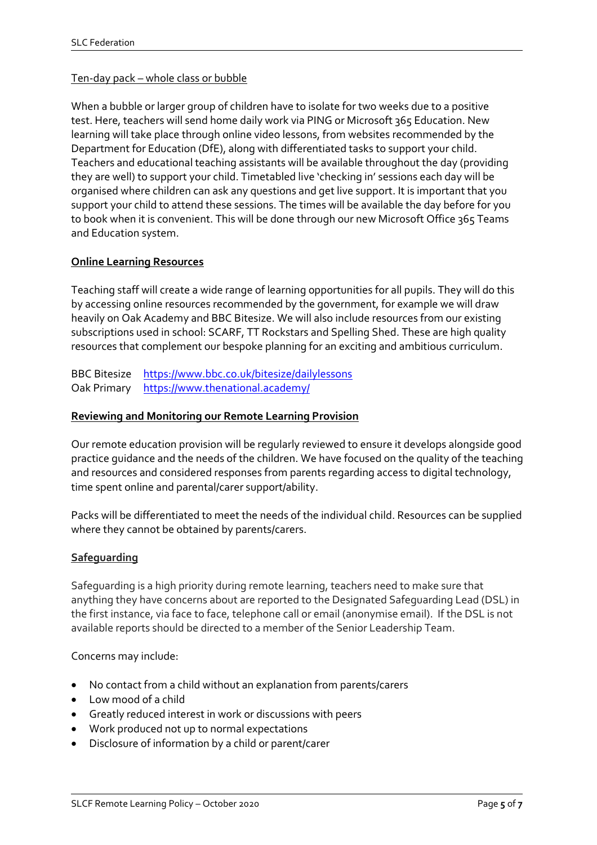#### Ten-day pack – whole class or bubble

When a bubble or larger group of children have to isolate for two weeks due to a positive test. Here, teachers will send home daily work via PING or Microsoft 365 Education. New learning will take place through online video lessons, from websites recommended by the Department for Education (DfE), along with differentiated tasks to support your child. Teachers and educational teaching assistants will be available throughout the day (providing they are well) to support your child. Timetabled live 'checking in' sessions each day will be organised where children can ask any questions and get live support. It is important that you support your child to attend these sessions. The times will be available the day before for you to book when it is convenient. This will be done through our new Microsoft Office 365 Teams and Education system.

# **Online Learning Resources**

Teaching staff will create a wide range of learning opportunities for all pupils. They will do this by accessing online resources recommended by the government, for example we will draw heavily on Oak Academy and BBC Bitesize. We will also include resources from our existing subscriptions used in school: SCARF, TT Rockstars and Spelling Shed. These are high quality resources that complement our bespoke planning for an exciting and ambitious curriculum.

BBC Bitesize <https://www.bbc.co.uk/bitesize/dailylessons> Oak Primary <https://www.thenational.academy/>

#### **Reviewing and Monitoring our Remote Learning Provision**

Our remote education provision will be regularly reviewed to ensure it develops alongside good practice guidance and the needs of the children. We have focused on the quality of the teaching and resources and considered responses from parents regarding access to digital technology, time spent online and parental/carer support/ability.

Packs will be differentiated to meet the needs of the individual child. Resources can be supplied where they cannot be obtained by parents/carers.

#### **Safeguarding**

Safeguarding is a high priority during remote learning, teachers need to make sure that anything they have concerns about are reported to the Designated Safeguarding Lead (DSL) in the first instance, via face to face, telephone call or email (anonymise email). If the DSL is not available reports should be directed to a member of the Senior Leadership Team.

 $\overline{a}$ 

Concerns may include:

- No contact from a child without an explanation from parents/carers
- Low mood of a child
- Greatly reduced interest in work or discussions with peers
- Work produced not up to normal expectations
- Disclosure of information by a child or parent/carer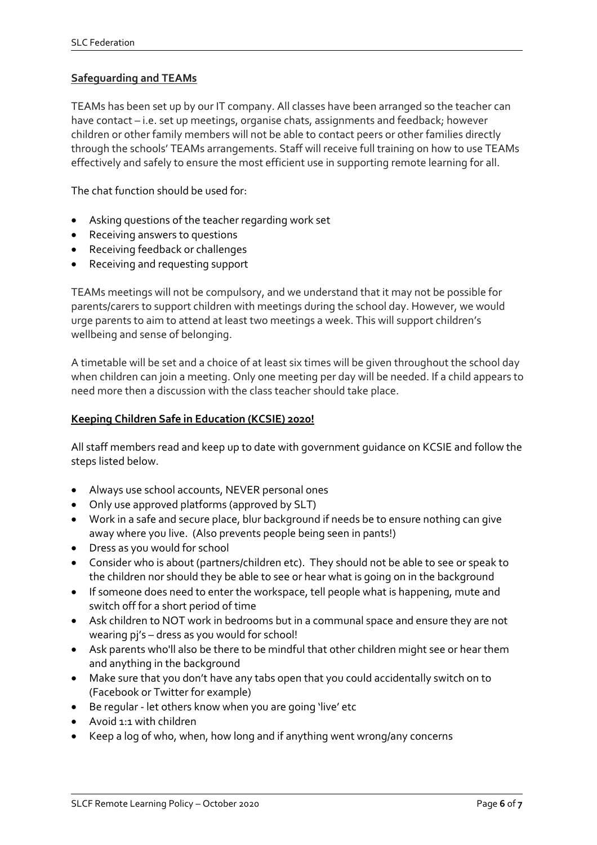# **Safeguarding and TEAMs**

TEAMs has been set up by our IT company. All classes have been arranged so the teacher can have contact – i.e. set up meetings, organise chats, assignments and feedback; however children or other family members will not be able to contact peers or other families directly through the schools' TEAMs arrangements. Staff will receive full training on how to use TEAMs effectively and safely to ensure the most efficient use in supporting remote learning for all.

The chat function should be used for:

- Asking questions of the teacher regarding work set
- Receiving answers to questions
- Receiving feedback or challenges
- Receiving and requesting support

TEAMs meetings will not be compulsory, and we understand that it may not be possible for parents/carers to support children with meetings during the school day. However, we would urge parents to aim to attend at least two meetings a week. This will support children's wellbeing and sense of belonging.

A timetable will be set and a choice of at least six times will be given throughout the school day when children can join a meeting. Only one meeting per day will be needed. If a child appears to need more then a discussion with the class teacher should take place.

#### **Keeping Children Safe in Education (KCSIE) 2020!**

All staff members read and keep up to date with government guidance on KCSIE and follow the steps listed below.

- Always use school accounts, NEVER personal ones
- Only use approved platforms (approved by SLT)
- Work in a safe and secure place, blur background if needs be to ensure nothing can give away where you live. (Also prevents people being seen in pants!)
- Dress as you would for school
- Consider who is about (partners/children etc). They should not be able to see or speak to the children nor should they be able to see or hear what is going on in the background
- If someone does need to enter the workspace, tell people what is happening, mute and switch off for a short period of time
- Ask children to NOT work in bedrooms but in a communal space and ensure they are not wearing pj's – dress as you would for school!
- Ask parents who'll also be there to be mindful that other children might see or hear them and anything in the background

- Make sure that you don't have any tabs open that you could accidentally switch on to (Facebook or Twitter for example)
- Be regular let others know when you are going 'live' etc
- Avoid 1:1 with children
- Keep a log of who, when, how long and if anything went wrong/any concerns